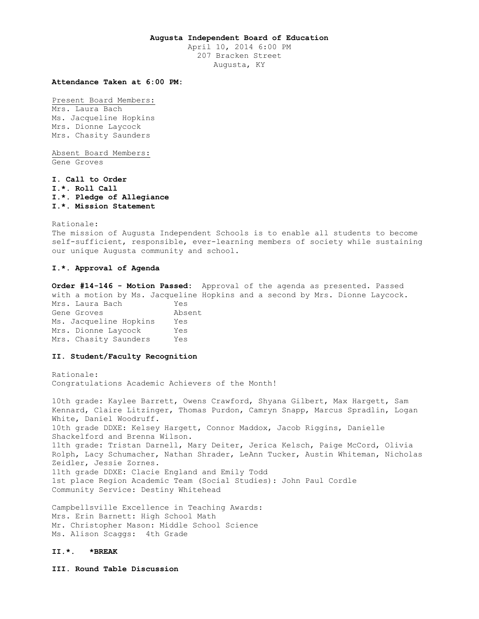## **Augusta Independent Board of Education**

April 10, 2014 6:00 PM 207 Bracken Street Augusta, KY

# **Attendance Taken at 6:00 PM:**

Present Board Members: Mrs. Laura Bach Ms. Jacqueline Hopkins Mrs. Dionne Laycock Mrs. Chasity Saunders

Absent Board Members: Gene Groves

**I. Call to Order I.\*. Roll Call I.\*. Pledge of Allegiance I.\*. Mission Statement** 

Rationale: The mission of Augusta Independent Schools is to enable all students to become self-sufficient, responsible, ever-learning members of society while sustaining our unique Augusta community and school.

## **I.\*. Approval of Agenda**

**Order #14-146 - Motion Passed:** Approval of the agenda as presented. Passed with a motion by Ms. Jacqueline Hopkins and a second by Mrs. Dionne Laycock. Mrs. Laura Bach Yes Gene Groves **Absent** Ms. Jacqueline Hopkins Yes Mrs. Dionne Laycock Yes Mrs. Chasity Saunders Yes

# **II. Student/Faculty Recognition**

Rationale: Congratulations Academic Achievers of the Month!

10th grade: Kaylee Barrett, Owens Crawford, Shyana Gilbert, Max Hargett, Sam Kennard, Claire Litzinger, Thomas Purdon, Camryn Snapp, Marcus Spradlin, Logan White, Daniel Woodruff. 10th grade DDXE: Kelsey Hargett, Connor Maddox, Jacob Riggins, Danielle Shackelford and Brenna Wilson. 11th grade: Tristan Darnell, Mary Deiter, Jerica Kelsch, Paige McCord, Olivia Rolph, Lacy Schumacher, Nathan Shrader, LeAnn Tucker, Austin Whiteman, Nicholas Zeidler, Jessie Zornes. 11th grade DDXE: Clacie England and Emily Todd 1st place Region Academic Team (Social Studies): John Paul Cordle Community Service: Destiny Whitehead

Campbellsville Excellence in Teaching Awards: Mrs. Erin Barnett: High School Math Mr. Christopher Mason: Middle School Science Ms. Alison Scaggs: 4th Grade

## **II.\*. \*BREAK**

**III. Round Table Discussion**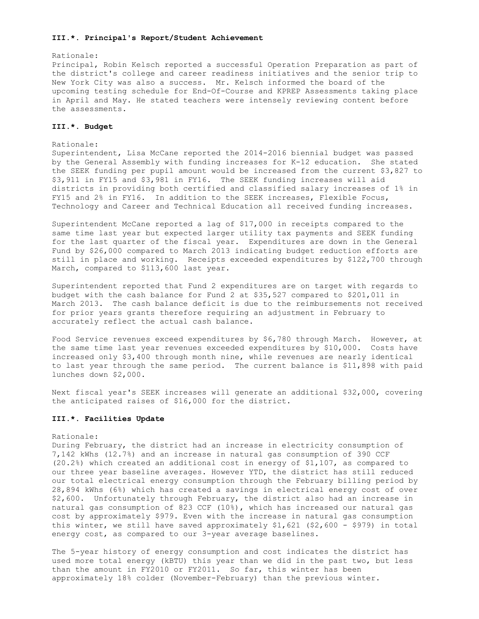#### **III.\*. Principal's Report/Student Achievement**

#### Rationale:

Principal, Robin Kelsch reported a successful Operation Preparation as part of the district's college and career readiness initiatives and the senior trip to New York City was also a success. Mr. Kelsch informed the board of the upcoming testing schedule for End-Of-Course and KPREP Assessments taking place in April and May. He stated teachers were intensely reviewing content before the assessments.

## **III.\*. Budget**

#### Rationale:

Superintendent, Lisa McCane reported the 2014-2016 biennial budget was passed by the General Assembly with funding increases for K-12 education. She stated the SEEK funding per pupil amount would be increased from the current \$3,827 to \$3,911 in FY15 and \$3,981 in FY16. The SEEK funding increases will aid districts in providing both certified and classified salary increases of 1% in FY15 and 2% in FY16. In addition to the SEEK increases, Flexible Focus, Technology and Career and Technical Education all received funding increases.

Superintendent McCane reported a lag of \$17,000 in receipts compared to the same time last year but expected larger utility tax payments and SEEK funding for the last quarter of the fiscal year. Expenditures are down in the General Fund by \$26,000 compared to March 2013 indicating budget reduction efforts are still in place and working. Receipts exceeded expenditures by \$122,700 through March, compared to \$113,600 last year.

Superintendent reported that Fund 2 expenditures are on target with regards to budget with the cash balance for Fund 2 at \$35,527 compared to \$201,011 in March 2013. The cash balance deficit is due to the reimbursements not received for prior years grants therefore requiring an adjustment in February to accurately reflect the actual cash balance.

Food Service revenues exceed expenditures by \$6,780 through March. However, at the same time last year revenues exceeded expenditures by \$10,000. Costs have increased only \$3,400 through month nine, while revenues are nearly identical to last year through the same period. The current balance is \$11,898 with paid lunches down \$2,000.

Next fiscal year's SEEK increases will generate an additional \$32,000, covering the anticipated raises of \$16,000 for the district.

#### **III.\*. Facilities Update**

## Rationale:

During February, the district had an increase in electricity consumption of 7,142 kWhs (12.7%) and an increase in natural gas consumption of 390 CCF (20.2%) which created an additional cost in energy of \$1,107, as compared to our three year baseline averages. However YTD, the district has still reduced our total electrical energy consumption through the February billing period by 28,894 kWhs (6%) which has created a savings in electrical energy cost of over \$2,600. Unfortunately through February, the district also had an increase in natural gas consumption of 823 CCF (10%), which has increased our natural gas cost by approximately \$979. Even with the increase in natural gas consumption this winter, we still have saved approximately \$1,621 (\$2,600 - \$979) in total energy cost, as compared to our 3-year average baselines.

The 5-year history of energy consumption and cost indicates the district has used more total energy (kBTU) this year than we did in the past two, but less than the amount in FY2010 or FY2011. So far, this winter has been approximately 18% colder (November-February) than the previous winter.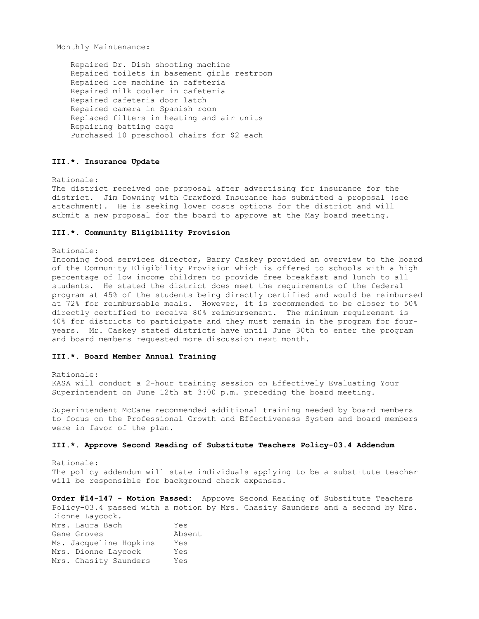Monthly Maintenance:

 Repaired Dr. Dish shooting machine Repaired toilets in basement girls restroom Repaired ice machine in cafeteria Repaired milk cooler in cafeteria Repaired cafeteria door latch Repaired camera in Spanish room Replaced filters in heating and air units Repairing batting cage Purchased 10 preschool chairs for \$2 each

#### **III.\*. Insurance Update**

Rationale:

The district received one proposal after advertising for insurance for the district. Jim Downing with Crawford Insurance has submitted a proposal (see attachment). He is seeking lower costs options for the district and will submit a new proposal for the board to approve at the May board meeting.

## **III.\*. Community Eligibility Provision**

Rationale:

Incoming food services director, Barry Caskey provided an overview to the board of the Community Eligibility Provision which is offered to schools with a high percentage of low income children to provide free breakfast and lunch to all students. He stated the district does meet the requirements of the federal program at 45% of the students being directly certified and would be reimbursed at 72% for reimbursable meals. However, it is recommended to be closer to 50% directly certified to receive 80% reimbursement. The minimum requirement is 40% for districts to participate and they must remain in the program for fouryears. Mr. Caskey stated districts have until June 30th to enter the program and board members requested more discussion next month.

#### **III.\*. Board Member Annual Training**

Rationale: KASA will conduct a 2-hour training session on Effectively Evaluating Your Superintendent on June 12th at 3:00 p.m. preceding the board meeting.

Superintendent McCane recommended additional training needed by board members to focus on the Professional Growth and Effectiveness System and board members were in favor of the plan.

## **III.\*. Approve Second Reading of Substitute Teachers Policy-03.4 Addendum**

Rationale: The policy addendum will state individuals applying to be a substitute teacher will be responsible for background check expenses.

**Order #14-147 - Motion Passed:** Approve Second Reading of Substitute Teachers Policy-03.4 passed with a motion by Mrs. Chasity Saunders and a second by Mrs.

Dionne Laycock. Mrs. Laura Bach Yes Gene Groves **Absent** Ms. Jacqueline Hopkins Yes Mrs. Dionne Laycock Yes Mrs. Chasity Saunders Yes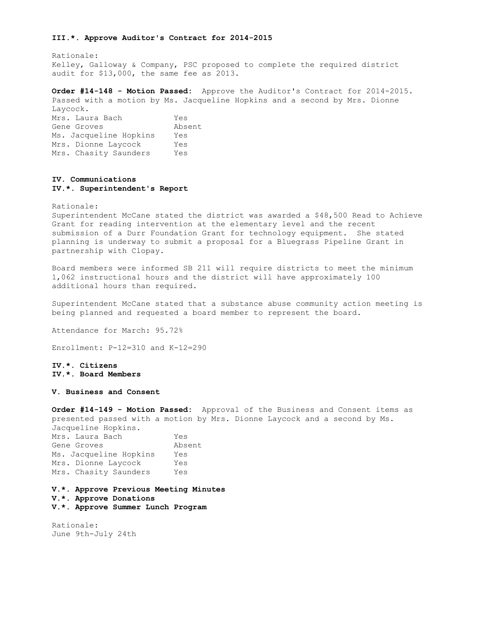#### **III.\*. Approve Auditor's Contract for 2014-2015**

Rationale: Kelley, Galloway & Company, PSC proposed to complete the required district audit for \$13,000, the same fee as 2013.

**Order #14-148 - Motion Passed:** Approve the Auditor's Contract for 2014-2015. Passed with a motion by Ms. Jacqueline Hopkins and a second by Mrs. Dionne Laycock.

| <b>LUV COOIL.</b>      |        |
|------------------------|--------|
| Mrs. Laura Bach        | Yes    |
| Gene Groves            | Absent |
| Ms. Jacqueline Hopkins | Yes    |
| Mrs. Dionne Laycock    | Yes    |
| Mrs. Chasity Saunders  | Yes    |
|                        |        |

# **IV. Communications IV.\*. Superintendent's Report**

Rationale:

Superintendent McCane stated the district was awarded a \$48,500 Read to Achieve Grant for reading intervention at the elementary level and the recent submission of a Durr Foundation Grant for technology equipment. She stated planning is underway to submit a proposal for a Bluegrass Pipeline Grant in partnership with Clopay.

Board members were informed SB 211 will require districts to meet the minimum 1,062 instructional hours and the district will have approximately 100 additional hours than required.

Superintendent McCane stated that a substance abuse community action meeting is being planned and requested a board member to represent the board.

Attendance for March: 95.72%

Enrollment: P-12=310 and K-12=290

**IV.\*. Citizens IV.\*. Board Members** 

**V. Business and Consent** 

**Order #14-149 - Motion Passed:** Approval of the Business and Consent items as presented passed with a motion by Mrs. Dionne Laycock and a second by Ms. Jacqueline Hopkins. Mrs. Laura Bach Yes Gene Groves **Absent** Ms. Jacqueline Hopkins Yes Mrs. Dionne Laycock Yes Mrs. Chasity Saunders Yes

**V.\*. Approve Previous Meeting Minutes V.\*. Approve Donations V.\*. Approve Summer Lunch Program** 

Rationale: June 9th-July 24th